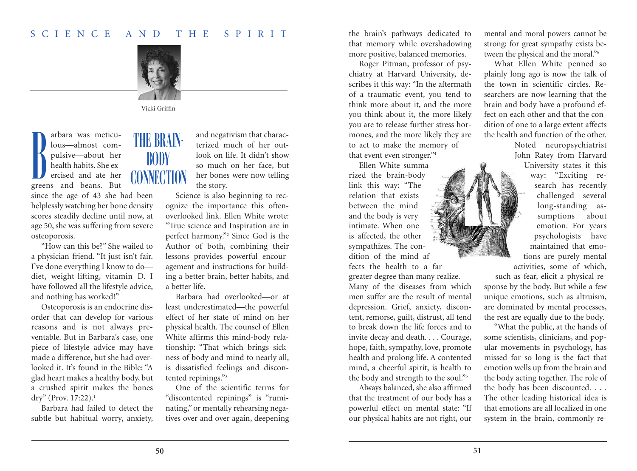## S C I E N C E A N D T H E S P I R I T



Vicki Griffin

arbara was meticulous—almost compulsive—about her health habits. She exercised and ate her greens and beans. But B

since the age of 43 she had been helplessly watching her bone density scores steadily decline until now, at age 50, she was suffering from severe osteoporosis.

"How can this be?" She wailed to a physician-friend. "It just isn't fair. I've done everything I know to do diet, weight-lifting, vitamin D. I have followed all the lifestyle advice, and nothing has worked!"

Osteoporosis is an endocrine disorder that can develop for various reasons and is not always preventable. But in Barbara's case, one piece of lifestyle advice may have made a difference, but she had overlooked it. It's found in the Bible: "A glad heart makes a healthy body, but a crushed spirit makes the bones dry" (Prov. 17:22). 1

Barbara had failed to detect the subtle but habitual worry, anxiety,

## THE BRAIN- BODY **CONNECTION**

and negativism that characterized much of her outlook on life. It didn't show so much on her face, but her bones were now telling the story.

Science is also beginning to recognize the importance this oftenoverlooked link. Ellen White wrote: "True science and Inspiration are in perfect harmony."2 Since God is the Author of both, combining their lessons provides powerful encouragement and instructions for building a better brain, better habits, and a better life.

Barbara had overlooked—or at least underestimated—the powerful effect of her state of mind on her physical health. The counsel of Ellen White affirms this mind-body relationship: "That which brings sickness of body and mind to nearly all, is dissatisfied feelings and discontented repinings."<sup>3</sup>

One of the scientific terms for "discontented repinings" is "ruminating," or mentally rehearsing negatives over and over again, deepening

the brain's pathways dedicated to that memory while overshadowing more positive, balanced memories.

Roger Pitman, professor of psychiatry at Harvard University, describes it this way: "In the aftermath of a traumatic event, you tend to think more about it, and the more you think about it, the more likely you are to release further stress hormones, and the more likely they are to act to make the memory of that event even stronger."4

Ellen White summarized the brain-body link this way: "The relation that exists between the mind and the body is very intimate. When one is affected, the other sympathizes. The condition of the mind affects the health to a far

greater degree than many realize. Many of the diseases from which

men suffer are the result of mental depression. Grief, anxiety, discontent, remorse, guilt, distrust, all tend to break down the life forces and to invite decay and death. . . . Courage, hope, faith, sympathy, love, promote health and prolong life. A contented mind, a cheerful spirit, is health to the body and strength to the soul."<sup>5</sup>

Always balanced, she also affirmed that the treatment of our body has a powerful effect on mental state: "If our physical habits are not right, our

mental and moral powers cannot be strong; for great sympathy exists between the physical and the moral."<sup>6</sup>

What Ellen White penned so plainly long ago is now the talk of the town in scientific circles. Researchers are now learning that the brain and body have a profound effect on each other and that the condition of one to a large extent affects the health and function of the other.

> Noted neuropsychiatrist John Ratey from Harvard University states it this way: "Exciting research has recently challenged several long-standing assumptions about emotion. For years psychologists have maintained that emotions are purely mental

activities, some of which, such as fear, elicit a physical response by the body. But while a few unique emotions, such as altruism, are dominated by mental processes, the rest are equally due to the body.

"What the public, at the hands of some scientists, clinicians, and popular movements in psychology, has missed for so long is the fact that emotion wells up from the brain and the body acting together. The role of the body has been discounted. . . . The other leading historical idea is that emotions are all localized in one system in the brain, commonly re-